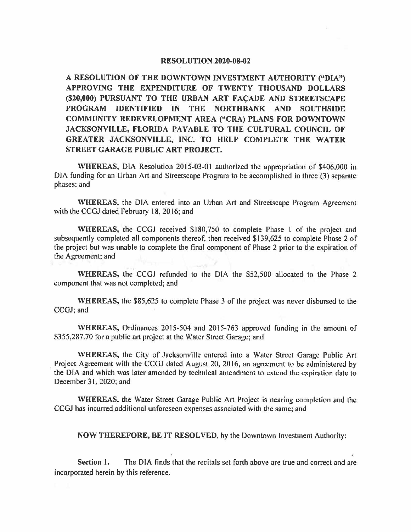## **RESOLUTION 2020-08-02**

**A RESOLUTION OF THE DOWNTOWN INVESTMENT AUTHORITY ("DIA") APPROVING THE EXPENDITURE OF TWENTY THOUSAND DOLLARS (\$20,000) PURSUANT TO THE URBAN ART FACADE AND STREETSCAPE PROGRAM IDENTIFIED IN THE NORTHBANK AND SOUTHSIDE COMMUNITY REDEVELOPMENT AREA ("CRA) PLANS FOR DOWNTOWN JACKSONVILLE, FLORIDA PAYABLE TO THE** CULTURAL **COUNCIL OF GREATER JACKSONVILLE, INC. TO HELP COMPLETE THE WATER STREET GARAGE PUBLIC ART PROJECT.** 

**WHEREAS,** DIA Resolution 2015-03-0 I authorized the appropriation of \$406,000 in DIA funding for an Urban Art and Streetscape Program to be accomplished in three (3) separate phases; and

**WHEREAS,** the DIA entered into an Urban Art and Streetscape Program Agreement with the CCGJ dated February 18, 2016; and

**WHEREAS,** the CCGJ received \$180,750 to complete Phase I of the project and subsequently completed all components thereof, then received \$139,625 to complete Phase 2 of the project but was unable to complete the final component of Phase 2 prior to the expiration of the Agreement; and

**WHEREAS,** the CCGJ refunded to the DIA the \$52,500 allocated to the Phase 2 component that was not completed; and

**WHEREAS,** the \$85,625 to complete Phase 3 of the project was never disbursed to the CCGJ; and

**WHEREAS,** Ordinances 2015-504 and 2015-763 approved funding in the amount of \$355,287.70 for a public art project at the Water Street Garage; and

**WHEREAS,** the City of Jacksonville entered into a Water Street Garage Public Art Project Agreement with the CCGJ dated August 20, 2016, an agreement to be administered by the DIA and which was later amended by technical amendment to extend the expiration date to December 31, 2020; and

**WHEREAS,** the Water Street Garage Public Art Project is nearing completion and the CCGJ has incurred additional unforeseen expenses associated with the same; and

**NOW THEREFORE, BE IT RESOLVED,** by the Downtown Investment Authority:

**Section 1.** The DIA finds that the recitals set forth above are true and correct and are incorporated herein by this reference.